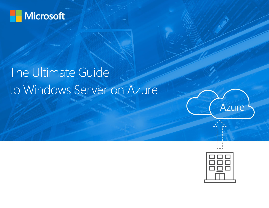

# The Ultimate Guide to Windows Server on Azure





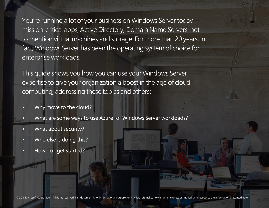You're running a lot of your business on Windows Server today mission-critical apps, Active Directory, Domain Name Servers, not to mention virtual machines and storage. For more than 20 years, in fact, Windows Server has been the operating system of choice for enterprise workloads.

This guide shows you how you can use your Windows Server expertise to give your organization a boost in the age of cloud computing, addressing these topics and others:

- Why move to the cloud?
- What are some ways to use Azure for Windows Server workloads?
- What about security?
- Who else is doing this?
- How do I get started?

© 2018 Microsoft Corporation. All rights reserved. This document is for informational purposes only. Microsoft makes no warranties express or implied, with respect to the information presented here.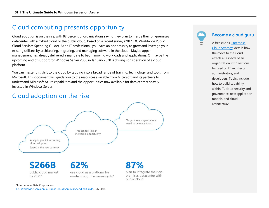### Cloud computing presents opportunity

Cloud adoption is on the rise, with 87 percent of organizations saying they plan to merge their on-premises datacenter with a hybrid cloud or the public cloud, based on a recent survey (2017 IDC Worldwide Public Cloud Services Spending Guide). As an IT professional, you have an opportunity to grow and leverage your existing skillsets by architecting, migrating, and managing software in the cloud. Maybe upper management has already delivered a mandate to begin moving workloads and applications. Or maybe the upcoming end of support for Windows Server 2008 in January 2020 is driving consideration of a cloud platform.

You can master this shift to the cloud by tapping into a broad range of training, technology, and tools from Microsoft. This document will guide you to the resources available from Microsoft and its partners to understand Microsoft Azure capabilities and the opportunities now available for data centers heavily invested in Windows Server.

### Cloud adoption on the rise



#### **Become a cloud guru**

A free eBook[, Enterprise](http://info.microsoft.com/enterprise-cloud-strategy-ebook.en-gb.1.html)  [Cloud Strategy,](http://info.microsoft.com/enterprise-cloud-strategy-ebook.en-gb.1.html) details how the move to the cloud effects all aspects of an organization, with sections focused on IT architects, administrators, and developers. Topics include: how to build capability within IT, cloud security and governance, new application models, and cloud architecture.

\*International Data Corporation

[IDC Worldwide Semiannual Public Cloud Services Spending Guide,](http://www.idc.com/getdoc.jsp?containerId=IDC_P33214) July 2017.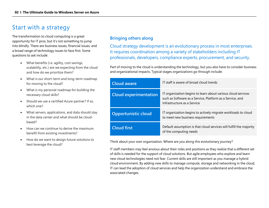### Start with a strategy

The transformation to cloud computing is a great opportunity for IT pros, but it's not something to jump into blindly. There are business issues, financial issues, and a broad range of technology issues to face first. Some questions to ask include:

- What benefits (i.e. agility, cost savings, scalability, etc.) are we expecting from the cloud and how do we prioritize them?
- What is our short-term and long-term roadmap for moving to the cloud?
- What is my personal roadmap for building the necessary cloud skills?
- Should we use a certified Azure partner? If so, which one?
- What servers, applications, and data should stay in the data center and what should be cloudbased?
- How can we continue to derive the maximum benefit from existing investments?
- How do we want to design future solutions to best leverage the cloud?

#### **Bringing others along**

Cloud strategy development is an evolutionary process in most enterprises. It requires coordination among a variety of stakeholders including IT professionals, developers, compliance experts, procurement, and security.

Part of moving to the cloud is understanding the technology, but you also have to consider business and organizational impacts. Typical stages organizations go through include:

| <b>Cloud aware</b>           | IT staff is aware of broad cloud trends                                                                                                                  |
|------------------------------|----------------------------------------------------------------------------------------------------------------------------------------------------------|
| <b>Cloud experimentation</b> | IT organization begins to learn about various cloud services<br>such as Software as a Service, Platform as a Service, and<br>Infrastructure as a Service |
| <b>Opportunistic cloud</b>   | IT organization begins to actively migrate workloads to cloud<br>to meet new business requirements                                                       |
| <b>Cloud first</b>           | Default assumption is that cloud services will fulfill the majority<br>of the computing needs                                                            |

Think about your own organization. Where are you along this evolutionary journey?

IT staff members may feel anxious about their roles and positions as they realize that a different set of skills is needed for the support of cloud solutions. But agile employees who explore and learn new cloud technologies need not fear. Current skills are still important as you manage a hybrid cloud environment. By adding new skills to manage compute, storage and networking in the cloud, IT can lead the adoption of cloud services and help the organization understand and embrace the associated changes.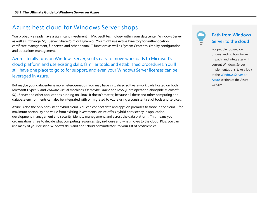### Azure: best cloud for Windows Server shops

You probably already have a significant investment in Microsoft technology within your datacenter: Windows Server, as well as Exchange, SQL Server, SharePoint or Dynamics. You might use Active Directory for authentication, certificate management, file server, and other pivotal IT functions as well as System Center to simplify configuration and operations management.

Azure literally runs on Windows Server, so it's easy to move workloads to Microsoft's cloud platform and use existing skills, familiar tools, and established procedures. You'll still have one place to go to for support, and even your Windows Server licenses can be leveraged in Azure.

But maybe your datacenter is more heterogeneous. You may have virtualized software workloads hosted on both Microsoft Hyper-V and VMware virtual machines. Or maybe Oracle and MySQL are operating alongside Microsoft SQL Server and other applications running on Linux. It doesn't matter, because all these and other computing and database environments can also be integrated with or migrated to Azure using a consistent set of tools and services.

Azure is also the only consistent hybrid cloud. You can connect data and apps on premises to those in the cloud—for maximum portability and value from existing investments. Azure offers hybrid consistency in application development, management and security, identity management, and across the data platform. This means your organization is free to decide what computing resources stay in-house and what moves to the cloud. Plus, you can use many of your existing Windows skills and add "cloud administrator" to your list of proficiencies.

#### **Path from Windows Server to the cloud**

For people focused on understanding how Azure impacts and integrates with current Windows Server implementations, take a look at th[e Windows Server on](http://azure.microsoft.com/campaigns/windows-server/)  [Azure](http://azure.microsoft.com/campaigns/windows-server/) section of the Azure website.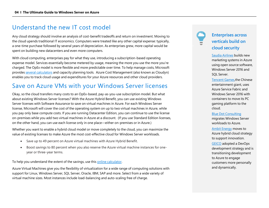### Understand the new IT cost model

Any cloud strategy should involve an analysis of cost-benefit tradeoffs and return on investment. Moving to the cloud upends traditional IT economics. Computers were treated like any other capital expense: typically, a one-time purchase followed by several years of depreciation. As enterprises grew, more capital would be spent on building new datacenters and even more computers.

With cloud computing, enterprises pay for what they use, introducing a subscription-based operating expense model. Services essentially become metered by usage, meaning the more you use the more you're charged. The OpEx model is more flexible and more predictable over time. To help manage costs, Microsoft provide[s several calculators](http://azure.microsoft.com/pricing/) and capacity planning tools. Azure Cost Management (also known as Cloudyn) enables you to track cloud usage and expenditures for your Azure resources and other cloud providers.

### Save on Azure VMs with your Windows Server licenses

Okay, so the cloud transfers many costs to an OpEx-based, pay-as-you-use subscription model. But what about existing Windows Server licenses? With the Azure Hybrid Benefit, you can use existing Windows Server licenses with Software Assurance to save on virtual machines in Azure. For each Windows Server license, Microsoft will cover the cost of the operating system on up to two virtual machines in Azure, while you pay only base compute costs. If you are running Datacenter Edition, you can continue to use the license on-premises while you add two virtual machines in Azure at a discount. (If you use Standard Edition licenses, on the other hand, you can use each license only in one place—either on-premises or in Azure.)

Whether you want to enable a hybrid cloud model or move completely to the cloud, you can maximize the value of existing licenses to make Azure the most cost-effective cloud for Windows Server workloads.

- Save up to 49 percent on Azure virtual machines with Azure Hybrid Benefit.
- Boost savings to 80 percent when you also reserve the Azure virtual machine instances for oneyear or three-year terms.

To help you understand the extent of the savings, use this [online calculator.](http://azure.microsoft.com/pricing/hybrid-benefit/#ahub-calculator)

Azure Virtual Machines give you the flexibility of virtualization for a wide range of computing solutions with support for Linux, Windows Server, SQL Server, Oracle, IBM, SAP and more. Select from a wide variety of virtual machine sizes. Most instances include load-balancing and auto-scaling free of charge.

#### **Enterprises across verticals build on cloud security**

[Saudia Airlines](http://customers.microsoft.com/en-US/story/saudiaairlines) builds new marketing systems in Azure using open source software, Windows Server 2016 and SQL Server.

[Tencent Games,](http://customers.microsoft.com/en-US/story/tencent-telecommunications-azure-service-fabric-windows-server-en)the Chinese entertainment giant, uses Azure Service Fabric and Windows Server 2016 with containers to move its PC gaming platform to the cloud.

#### [Blue Dot Consulting](http://customers.microsoft.com/en-us/story/bluedotconsulting)

migrates Windows Server workloads to Azure.

[Ambit Energy](https://customers.microsoft.com/en-us/story/ambit-energy) moves to Azure hybrid cloud strategy to support innovation.

[GEICO](http://customers.microsoft.com/en-US/story/geico) adopted a DevOps development strategy and is transitioning development to Azure to engage customers more personally and dynamically.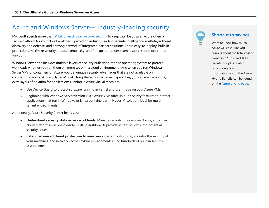### Azure and Windows Server— Industry-leading security

Microsoft spends more than [\\$1 billion each year on cybersecurity](http://azure.microsoft.com/en-us/blog/introducing-azure-confidential-computing) to keep workloads safe. Azure offers a secure platform for your cloud workloads, providing industry-leading security intelligence, multi-layer threat discovery and defense, and a strong network of integrated partner solutions. These easy-to-deploy, built-in protections maximize security, reduce complexity, and free up operations team resources for more critical functions.

Windows Server also includes multiple layers of security built right into the operating system to protect workloads whether you run them on-premises or in a cloud environment. And when you run Windows Server VMs or containers on Azure, you get unique security advantages that are not available on competitors lacking Azure's Hyper-V host. Using the Windows Server capabilities, you can enable unique, extra layers of isolation for applications running in Azure virtual machines:

- Use Device Guard to protect software running in kernel and user mode on your Azure VMs.
- Beginning with Windows Server version 1709, Azure VMs offer unique security features to protect applications that run in Windows or Linux containers with Hyper-V isolation, ideal for multitenant environments.

Additionally, Azure Security Center helps you:

- **Understand security state across workloads**. Manage security on-premises, Azure, and other cloud platforms—in one console. Built-in dashboards provide instant insights into potential security issues.
- **Extend advanced threat protection to your workloads.** Continuously monitor the security of your machines, and networks across hybrid environments using hundreds of built-in security assessments.



#### **Shortcut to savings**

Want to know how much Azure will cost? Are you curious about the total cost of ownership? Cost and TCO calculators, plus related pricing details and information about the Azure Hybrid Benefit, can be found on th[e Azure pricing page.](http://azure.microsoft.com/pricing/)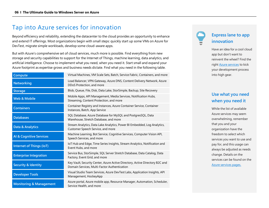### Tap into Azure services for innovation

Beyond efficiency and reliability, extending the datacenter to the cloud provides an opportunity to enhance and extend IT offerings. Most organizations begin with small steps: quickly start up some VMs on Azure for DevTest, migrate simple workloads, develop some cloud-aware apps.

But with Azure's comprehensive set of cloud services, much more is possible. Find everything from new storage and security capabilities to support for the Internet of Things, machine learning, data analytics, and artificial intelligence. Choose to implement what you need, when you need it. Start small and expand your Azure footprint as expertise grows and business needs dictate. Find what you need in the following table.

| Compute                            | Virtual Machines, VM Scale Sets, Batch, Service Fabric, Containers, and more                                                 |
|------------------------------------|------------------------------------------------------------------------------------------------------------------------------|
| <b>Networking</b>                  | Load Balancer, VPN Gateway, Azure DNS, Content Delivery Network, Azure<br>DDoS Protection, and more                          |
| <b>Storage</b>                     | Blob, Queue, File, Disk, Data Lake, StorSimple, Backup, Site Recovery                                                        |
| <b>Web &amp; Mobile</b>            | Mobile Apps, API Management, Media Services, Notification Hubs,<br>Streaming, Content Protection, and more                   |
| <b>Containers</b>                  | Container Registry and Instances, Azure Container Service, Container<br>Instances, Batch, App Service                        |
| <b>Databases</b>                   | SQL Database, Azure Database for MySQL and PostgresSQL, Data<br>Warehouse, Stretch Database, and more                        |
| Data & Analytics                   | Stream Analytics, Data Lake Analytics, Power BI Embedded, Log Analytics,<br>Customer Speech Service, and more                |
| <b>Al &amp; Cognitive Services</b> | Machine Learning, Bot Service, Cognitive Services, Computer Vision API,<br>Speech Services, and more                         |
| <b>Internet of Things (IoT)</b>    | IoT Hub and Edge, Time Series Insights, Stream Analytics, Notification and<br>Event Hubs, and more                           |
| <b>Enterprise Integration</b>      | Service Bus, StorSimple, SQL Server Stretch Database, Data Catalog, Data<br>Factory, Event Grid, and more                    |
| <b>Security &amp; Identity</b>     | Key Vault, Security Center, Azure Active Directory, Active Directory B2C and<br>Domain Services, Multi-Factor Authentication |
| <b>Developer Tools</b>             | Visual Studio Team Services, Azure DevTest Labs, Application Insights, API<br>Management, HockeyApp                          |
| <b>Monitoring &amp; Management</b> | Azure portal, Azure mobile app, Resource Manager, Automation, Scheduler,<br>Service Health, and more                         |

### **Express lane to app innovation**

Have an idea for a cool cloud app but don't want to reinvent the wheel? Find the righ[t Azure services](http://azure.microsoft.com/services) to kick your development process into high gear.

#### **Use what you need when you need it**

While the list of available Azure services may seem overwhelming, remember that you and your organization have the freedom to select which services you want to use and pay for, and this usage can always be adjusted as needs change. Details on the services can be found on the [Azure services pages.](http://azure.microsoft.com/services/)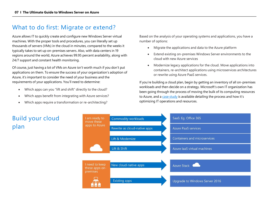### What to do first: Migrate or extend?

Azure allows IT to quickly create and configure new Windows Server virtual machines. With the proper tools and procedures, you can literally set up thousands of servers (VMs) in the cloud in minutes, compared to the weeks it typically takes to set up on-premises servers. Also, with data centers in 19 regions around the world, Azure achieves 99.95 percent availability, along with 24/7 support and constant health monitoring.

Of course, just having a lot of VMs on Azure isn't worth much if you don't put applications on them. To ensure the success of your organization's adoption of Azure, it's important to consider the need of your business and the requirements of your applications. You'll need to determine:

- Which apps can you "lift and shift" directly to the cloud?
- Which apps benefit from integrating with Azure services?
- Which apps require a transformation or re-architecting?

Based on the analysis of your operating systems and applications, you have a number of options:

- Migrate the applications and data to the Azure platform
- Extend existing on-premises Windows Server environments to the cloud with new Azure services
- Modernize legacy applications for the cloud. Move applications into containers, re-architect applications using microservices architectures or rewrite using Azure PaaS services.

If you're building a cloud plan, begin by getting an inventory of all on-premises workloads and then decide on a strategy. Microsoft's own IT organization has been going through the process of moving the bulk of its computing resources to Azure, and a [case study](http://www.microsoft.com/itshowcase/Article/Content/861/Optimizing-resource-efficiency-in-Microsoft-Azure) is available detailing the process and how it's optimizing IT operations and resources.



### Build your cloud plan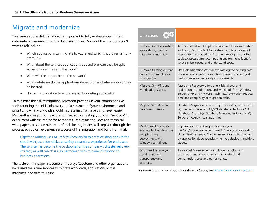### Migrate and modernize

To assure a successful migration, it's important to fully evaluate your current datacenter environment using a discovery process. Some of the questions you'll want to ask include:

- Which applications can migrate to Azure and which should remain onpremises?
- What about the services applications depend on? Can they be split across on-premises and the cloud?
- What will the impact be on the network?
- What databases do the applications depend on and where should they be located?
- How will a migration to Azure impact budgeting and costs?

To minimize the risk of migration, Microsoft provides several comprehensive tools for doing the initial discovery and assessment of your environment, and prioritizing what workloads should migrate first. To make things even easier, Microsoft allows you to try Azure for free. You can set up your own "sandbox" to experiment with Azure free for 12 months. Deployment guides and technical whitepapers, based on hundreds of real-life migrations, will step you through the process, so you can experience a successful first migration and build from that.

[Capstone](https://customers.microsoft.com/en-us/story/capstone-mining) Mining uses Azure Site Recovery to migrate existing apps to the cloud with just a few clicks, ensuring a seamless experience for end users. The service has become the backbone for the company's disaster recovery strategy as well, which is also performed with minimal disruption to business operations.

The table on this page lists some of the ways Capstone and other organizations have used the Azure services to migrate workloads, applications, virtual machines, and data to Azure.

| Use cases <b>QQ</b>                                                                                                 |                                                                                                                                                                                                                                                                                   |
|---------------------------------------------------------------------------------------------------------------------|-----------------------------------------------------------------------------------------------------------------------------------------------------------------------------------------------------------------------------------------------------------------------------------|
| Discover: Catalog existing<br>applications; identify<br>migration candidates                                        | To understand what applications should be moved, when<br>and how, it's important to create a complete catalog of<br>applications managed by IT. Use Azure Migrate or other<br>tools to assess current computing environment, identify<br>what can be moved, and understand costs. |
| Discover: Catalog current<br>data environment prior<br>to migration.                                                | Use Data Migration Assistant to catalog the existing data<br>environment, identify compatibility issues, and suggest<br>performance and reliability improvements.                                                                                                                 |
| Migrate: Shift VMs and<br>workloads to Azure.                                                                       | Azure Site Recovery offers one-click failover and<br>replication of applications and workloads from Windows<br>Server, Linux and VMware machines. Automation reduces<br>time and complexity of migration tasks.                                                                   |
| Migrate: Shift data and<br>databases to Azure.                                                                      | Database Migration Service migrates existing on-premises<br>SQL Server, Oracle, and MySQL databases to Azure SQL<br>Database, Azure SQL Database Managed Instance or SQL<br>Server on Azure virtual machines.                                                                     |
| Modernize: Lift and shift<br>existing .NET applications<br>by optimizing<br>deployments with<br>Windows containers. | Improve your DevOps operations for your<br>dev/test/production environment. Make your application<br>cloud DevOps-ready. Containers remove friction caused<br>by application dependencies when you deploy in multiple<br>stages.                                                  |
| Optimize: Manage your<br>cloud spend with<br>transparency and<br>accuracy.                                          | Azure Cost Management (also known as Cloudyn)<br>provides granular, real-time visibility into cloud<br>consumption, cost, and performance.                                                                                                                                        |

For more information about migration to Azure, see [azuremigrationcenter.com](http://www.azuremigrationcenter.com/)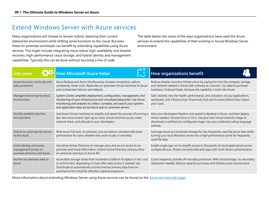### Extend Windows Server with Azure services

Many organizations will choose to remain hybrid, retaining their current datacenter environment while shifting some functions to the cloud. But even these on-premises workloads can benefit by extending capabilities using Azure services. This might include integrating more robust high-availability and disaster recovery, high-performance cloud storage, and hybrid identity and management capabilities. Typically this can be done without touching a line of code.

The table below lists some of the ways organizations have used the Azure services to extend the capabilities of their existing in-house Windows Server environment.

| Use cases                                                                          | $V-$ ?<br>How Microsoft Azure helps                                                                                                                                                                                                                                                     | <b>How organizations benefit</b>                                                                                                                                                                                                                       |
|------------------------------------------------------------------------------------|-----------------------------------------------------------------------------------------------------------------------------------------------------------------------------------------------------------------------------------------------------------------------------------------|--------------------------------------------------------------------------------------------------------------------------------------------------------------------------------------------------------------------------------------------------------|
| Assure business continuity and<br>data protection                                  | Azure Backup and Azure Site Recovery increase compliance, reduce<br>complexity, lower costs. Replicates on-premises virtual machines to Azure<br>and orchestrates failover and failback.                                                                                                | Reduce disaster recovery infrastructure by paying for only the compute, storage<br>and network needed in Azure with software as a service--no need to purchase<br>hardware. Onboard faster, because the capability is built into Azure.                |
| Manage diverse hybrid cloud<br>environment.                                        | System Center simplifies deployment, configuration, management, and<br>monitoring of your infrastructure and virtualized datacenter. Use Azure<br>monitoring and analytics to collect, correlate, and search your systems<br>and application data across Azure and on-premises servers. | Gain visibility into the health, performance, and utilization of your applications,<br>workloads, and infrastructure. Proactively find and fix issues before they impact<br>your users.                                                                |
| Quickly establish dev/test<br>environments                                         | Use Azure Virtual machines to simplify and speed the process of running a<br>dev-test environment. Spin up as many virtual machines as you need,<br>network them, and allocate to your developers.                                                                                      | Give your developers freedom and speed to develop in Azure, and then deploy<br>where needed. Choose Linux or Unix. Use your own virtual machine image or<br>download a certified pre-configured image. Use your preferred coding language<br>natively. |
| Extend on-premises file servers<br>to the cloud                                    | With Azure File Sync (in preview), you can deliver consistent file share<br>performance for users whether they work locally or remotely.                                                                                                                                                | Leverage Azure as centralized storage for less frequently used file server data while<br>turning your local Windows server into a high performance cache for frequently<br>used file data.                                                             |
| Unite identity and access<br>management across on-<br>premises directory and Azure | Use Azure Active Directory to manage users and secure access to on-<br>premises and cloud information. Extend Active Directory and any other<br>on-premises directory to Azure AD.                                                                                                      | Enable single sign-on to simplify access to thousands of cloud applications across<br>multiple devices. Protect sensitive data and apps with multi-factor authentication.                                                                              |
| Archive on-premises data to<br>Azure                                               | Azure Blob storage stores from hundreds to billions of objects in hot, cool,<br>or archive tiers, depending on how often data access is needed. Use<br>StorSimple to automatically archive inactive primary data from on-<br>premises to the cloud for effortless capacity expansion.   | Cloud snapshots provide off-site data protection. With cloud storage, no secondary<br>datacenter needed. Reduce capacity purchases and infrastructure maintenance.                                                                                     |

More information about extending Windows Server using Azure services can be found on the [Azure services web page.](http://azure.microsoft.com/services/)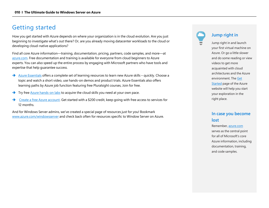### Getting started

How you get started with Azure depends on where your organization is in the cloud evolution. Are you just beginning to investigate what's out there? Or, are you already moving datacenter workloads to the cloud or developing cloud-native applications?

Find all core Azure information—training, documentation, pricing, partners, code samples, and more—at [azure.com.](http://www.azure.com/) Free documentation and training is available for everyone from cloud beginners to Azure experts. You can also speed up the entire process by engaging with Microsoft partners who have tools and expertise that help guarantee success.

- → [Azure Essentials](http://www.microsoft.com/azureessentials) offers a complete set of learning resources to learn new Azure skills quickly. Choose a topic and watch a short video, use hands-on demos and product trials. Azure Essentials also offers learning paths by Azure job function featuring free Pluralsight courses, Join for free.
- → Try free [Azure hands-on labs](http://azure.microsoft.com/training/hands-on-labs/) to acquire the cloud skills you need at your own pace.
- ➔ [Create a free Azure account.](http://azure.microsoft.com/free) Get started with a \$200 credit, keep going with free access to services for 12 months.

And for Windows Server admins, we've created a special page of resources just for you! Bookmark [www.azure.com/windowsserver](http://www.azure.com/windowsserver) and check back often for resources specific to Window Server on Azure.

## **Jump right in**

Jump right in and launch your first virtual machine on Azure. Or go a little slower and do some reading or view videos to get more acquainted with cloud architectures and the Azure environment. The Get [Started](http://azure.microsoft.com/get-started/) page of the Azure website will help you start your exploration in the right place.

#### **In case you become lost**

Remember, [azure.com](http://www.azure.com/) serves as the central point for all of Microsoft's core Azure information, including documentation, training, and code samples.